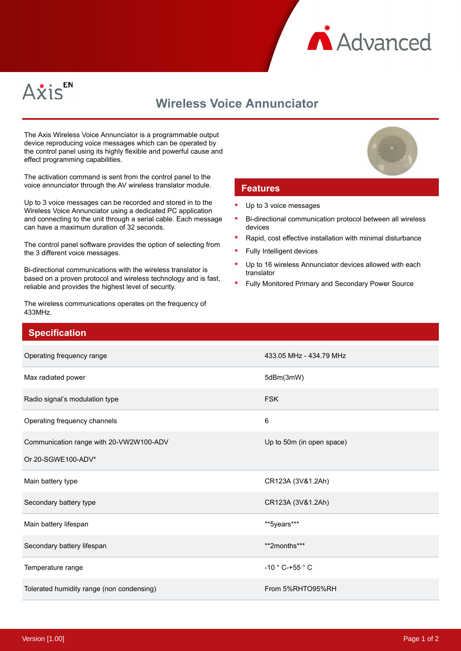



## **Wireless Voice Annunciator**

The Axis Wireless Voice Annunciator is a programmable output device reproducing voice messages which can be operated by the control panel using its highly flexible and powerful cause and effect programming capabilities.

The activation command is sent from the control panel to the voice annunciator through the AV wireless translator module.

Up to 3 voice messages can be recorded and stored in to the Wireless Voice Annunciator using a dedicated PC application and connecting to the unit through a serial cable. Each message can have a maximum duration of 32 seconds.

The control panel software provides the option of selecting from the 3 different voice messages.

Bi-directional communications with the wireless translator is based on a proven protocol and wireless technology and is fast, reliable and provides the highest level of security.

The wireless communications operates on the frequency of 433MHz.

## **Features**

- Up to 3 voice messages
- Bi-directional communication protocol between all wireless devices
- Rapid, cost effective installation with minimal disturbance
- Fully Intelligent devices
- Up to 16 wireless Annunciator devices allowed with each translator
- Fully Monitored Primary and Secondary Power Source

| <b>Specification</b>                      |                                   |
|-------------------------------------------|-----------------------------------|
| Operating frequency range                 | 433.05 MHz - 434.79 MHz           |
| Max radiated power                        | 5dBm(3mW)                         |
| Radio signal's modulation type            | <b>FSK</b>                        |
| Operating frequency channels              | 6                                 |
| Communication range with 20-VW2W100-ADV   | Up to 50m (in open space)         |
| Or 20-SGWE100-ADV*                        |                                   |
| Main battery type                         | CR123A (3V&1.2Ah)                 |
| Secondary battery type                    | CR123A (3V&1.2Ah)                 |
| Main battery lifespan                     | **5years***                       |
| Secondary battery lifespan                | **2months***                      |
| Temperature range                         | -10 $^{\circ}$ C-+55 $^{\circ}$ C |
| Tolerated humidity range (non condensing) | From 5%RHTO95%RH                  |